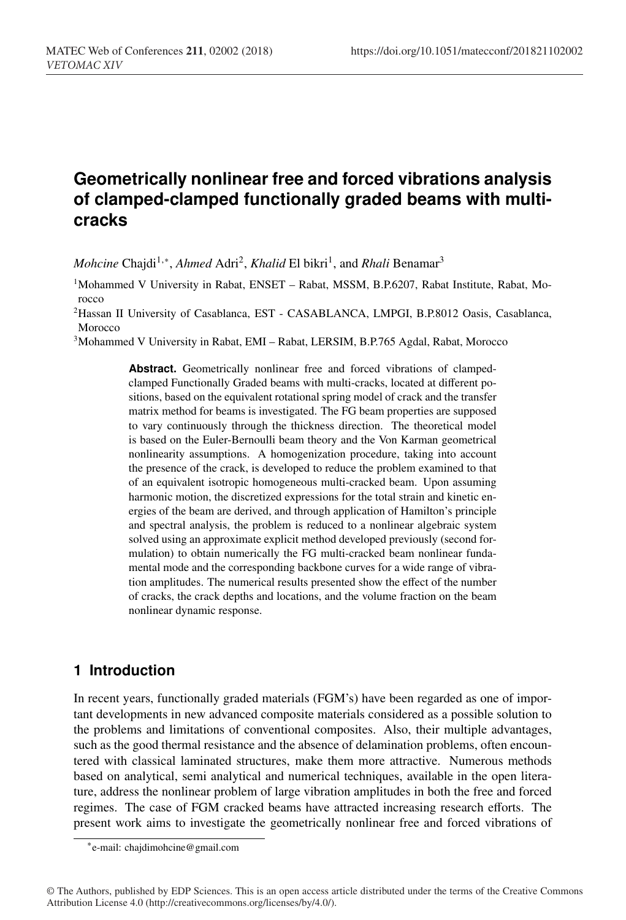# **Geometrically nonlinear free and forced vibrations analysis of clamped-clamped functionally graded beams with multicracks**

*Mohcine* Chajdi<sup>1,\*</sup>, *Ahmed* Adri<sup>2</sup>, *Khalid* El bikri<sup>1</sup>, and *Rhali* Benamar<sup>3</sup>

<sup>1</sup>Mohammed V University in Rabat, ENSET – Rabat, MSSM, B.P.6207, Rabat Institute, Rabat, Morocco

2Hassan II University of Casablanca, EST - CASABLANCA, LMPGI, B.P.8012 Oasis, Casablanca, Morocco

3Mohammed V University in Rabat, EMI – Rabat, LERSIM, B.P.765 Agdal, Rabat, Morocco

**Abstract.** Geometrically nonlinear free and forced vibrations of clampedclamped Functionally Graded beams with multi-cracks, located at different positions, based on the equivalent rotational spring model of crack and the transfer matrix method for beams is investigated. The FG beam properties are supposed to vary continuously through the thickness direction. The theoretical model is based on the Euler-Bernoulli beam theory and the Von Karman geometrical nonlinearity assumptions. A homogenization procedure, taking into account the presence of the crack, is developed to reduce the problem examined to that of an equivalent isotropic homogeneous multi-cracked beam. Upon assuming harmonic motion, the discretized expressions for the total strain and kinetic energies of the beam are derived, and through application of Hamilton's principle and spectral analysis, the problem is reduced to a nonlinear algebraic system solved using an approximate explicit method developed previously (second formulation) to obtain numerically the FG multi-cracked beam nonlinear fundamental mode and the corresponding backbone curves for a wide range of vibration amplitudes. The numerical results presented show the effect of the number of cracks, the crack depths and locations, and the volume fraction on the beam nonlinear dynamic response.

## **1 Introduction**

In recent years, functionally graded materials (FGM's) have been regarded as one of important developments in new advanced composite materials considered as a possible solution to the problems and limitations of conventional composites. Also, their multiple advantages, such as the good thermal resistance and the absence of delamination problems, often encountered with classical laminated structures, make them more attractive. Numerous methods based on analytical, semi analytical and numerical techniques, available in the open literature, address the nonlinear problem of large vibration amplitudes in both the free and forced regimes. The case of FGM cracked beams have attracted increasing research efforts. The present work aims to investigate the geometrically nonlinear free and forced vibrations of

<sup>∗</sup>e-mail: chajdimohcine@gmail.com

<sup>©</sup> The Authors, published by EDP Sciences. This is an open access article distributed under the terms of the Creative Commons Attribution License 4.0 (http://creativecommons.org/licenses/by/4.0/).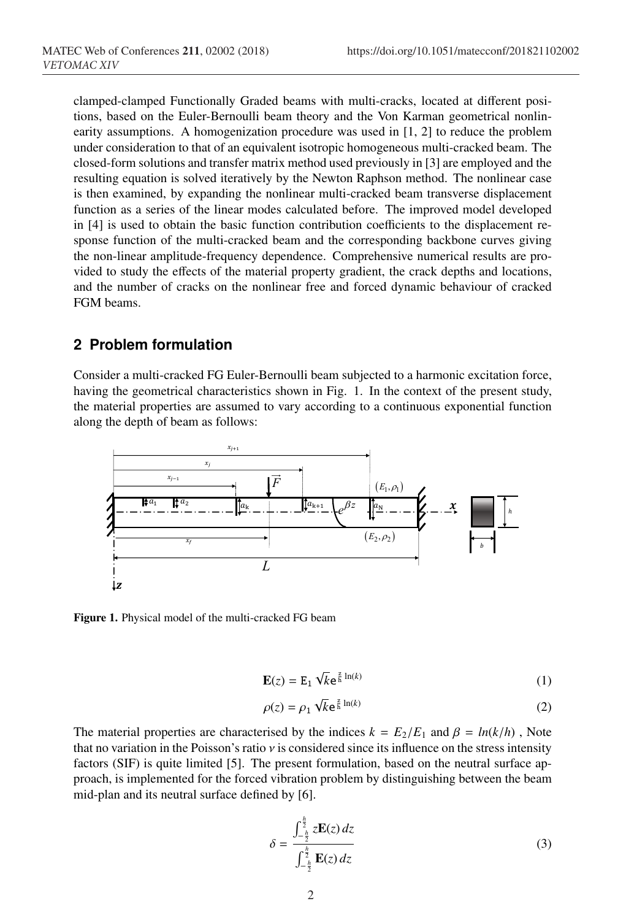clamped-clamped Functionally Graded beams with multi-cracks, located at different positions, based on the Euler-Bernoulli beam theory and the Von Karman geometrical nonlinearity assumptions. A homogenization procedure was used in [1, 2] to reduce the problem under consideration to that of an equivalent isotropic homogeneous multi-cracked beam. The closed-form solutions and transfer matrix method used previously in [3] are employed and the resulting equation is solved iteratively by the Newton Raphson method. The nonlinear case is then examined, by expanding the nonlinear multi-cracked beam transverse displacement function as a series of the linear modes calculated before. The improved model developed in [4] is used to obtain the basic function contribution coefficients to the displacement response function of the multi-cracked beam and the corresponding backbone curves giving the non-linear amplitude-frequency dependence. Comprehensive numerical results are provided to study the effects of the material property gradient, the crack depths and locations, and the number of cracks on the nonlinear free and forced dynamic behaviour of cracked FGM beams.

## **2 Problem formulation**

Consider a multi-cracked FG Euler-Bernoulli beam subjected to a harmonic excitation force, having the geometrical characteristics shown in Fig. 1. In the context of the present study, the material properties are assumed to vary according to a continuous exponential function along the depth of beam as follows:



Figure 1. Physical model of the multi-cracked FG beam

$$
\mathbf{E}(z) = \mathbf{E}_1 \sqrt{k} \mathbf{e}^{\frac{z}{h} \ln(k)} \tag{1}
$$

$$
\rho(z) = \rho_1 \sqrt{k} e^{\frac{z}{h} \ln(k)} \tag{2}
$$

The material properties are characterised by the indices  $k = E_2/E_1$  and  $\beta = ln(k/h)$ , Note that no variation in the Poisson's ratio  $\nu$  is considered since its influence on the stress intensity factors (SIF) is quite limited [5]. The present formulation, based on the neutral surface approach, is implemented for the forced vibration problem by distinguishing between the beam mid-plan and its neutral surface defined by [6].

$$
\delta = \frac{\int_{-\frac{h}{2}}^{\frac{h}{2}} z \mathbf{E}(z) dz}{\int_{-\frac{h}{2}}^{\frac{h}{2}} \mathbf{E}(z) dz}
$$
(3)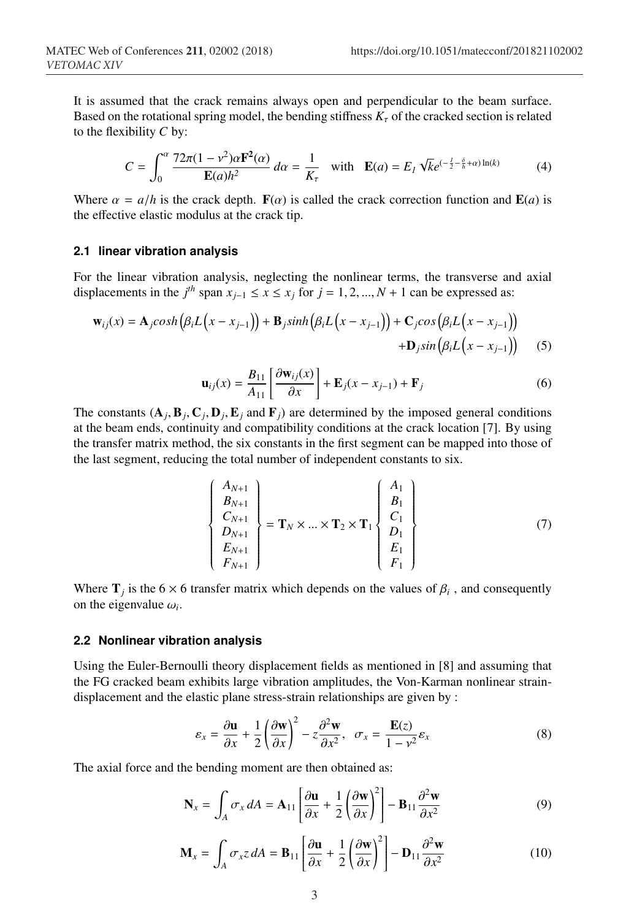It is assumed that the crack remains always open and perpendicular to the beam surface. Based on the rotational spring model, the bending stiffness  $K_{\tau}$  of the cracked section is related to the flexibility *C* by:

$$
C = \int_0^\alpha \frac{72\pi (1 - v^2)\alpha \mathbf{F}^2(\alpha)}{\mathbf{E}(a)h^2} d\alpha = \frac{1}{K_\tau} \quad \text{with} \quad \mathbf{E}(a) = E_I \sqrt{k} e^{(-\frac{I}{2} - \frac{\delta}{h} + \alpha) \ln(k)} \tag{4}
$$

Where  $\alpha = a/h$  is the crack depth.  $F(\alpha)$  is called the crack correction function and  $E(a)$  is the effective elastic modulus at the crack tip.

#### **2.1 linear vibration analysis**

For the linear vibration analysis, neglecting the nonlinear terms, the transverse and axial displacements in the  $j^{th}$  span  $x_{j-1} \le x \le x_j$  for  $j = 1, 2, ..., N + 1$  can be expressed as:

$$
\mathbf{w}_{ij}(x) = \mathbf{A}_j \cosh\left(\beta_i L\left(x - x_{j-1}\right)\right) + \mathbf{B}_j \sinh\left(\beta_i L\left(x - x_{j-1}\right)\right) + \mathbf{C}_j \cos\left(\beta_i L\left(x - x_{j-1}\right)\right) + \mathbf{D}_j \sin\left(\beta_i L\left(x - x_{j-1}\right)\right) \tag{5}
$$

$$
\mathbf{u}_{ij}(x) = \frac{B_{11}}{A_{11}} \left[ \frac{\partial \mathbf{w}_{ij}(x)}{\partial x} \right] + \mathbf{E}_j (x - x_{j-1}) + \mathbf{F}_j \tag{6}
$$

The constants  $(A_i, B_j, C_i, D_j, E_j$  and  $F_j$ ) are determined by the imposed general conditions at the beam ends, continuity and compatibility conditions at the crack location [7]. By using the transfer matrix method, the six constants in the first segment can be mapped into those of the last segment, reducing the total number of independent constants to six.

$$
\begin{Bmatrix}\nA_{N+1} \\
B_{N+1} \\
C_{N+1} \\
D_{N+1} \\
E_{N+1} \\
F_{N+1}\n\end{Bmatrix} = \mathbf{T}_N \times ... \times \mathbf{T}_2 \times \mathbf{T}_1 \begin{Bmatrix}\nA_1 \\
B_1 \\
C_1 \\
D_1 \\
E_1 \\
F_1\n\end{Bmatrix}
$$
\n(7)

Where  $\mathbf{T}_i$  is the 6  $\times$  6 transfer matrix which depends on the values of  $\beta_i$ , and consequently on the eigenvalue  $\omega_i$ .

#### **2.2 Nonlinear vibration analysis**

Using the Euler-Bernoulli theory displacement fields as mentioned in [8] and assuming that the FG cracked beam exhibits large vibration amplitudes, the Von-Karman nonlinear straindisplacement and the elastic plane stress-strain relationships are given by :

$$
\varepsilon_x = \frac{\partial \mathbf{u}}{\partial x} + \frac{1}{2} \left( \frac{\partial \mathbf{w}}{\partial x} \right)^2 - z \frac{\partial^2 \mathbf{w}}{\partial x^2}, \quad \sigma_x = \frac{\mathbf{E}(z)}{1 - v^2} \varepsilon_x \tag{8}
$$

The axial force and the bending moment are then obtained as:

$$
\mathbf{N}_{x} = \int_{A} \sigma_{x} dA = \mathbf{A}_{11} \left[ \frac{\partial \mathbf{u}}{\partial x} + \frac{1}{2} \left( \frac{\partial \mathbf{w}}{\partial x} \right)^{2} \right] - \mathbf{B}_{11} \frac{\partial^{2} \mathbf{w}}{\partial x^{2}}
$$
(9)

$$
\mathbf{M}_{x} = \int_{A} \sigma_{x} z \, dA = \mathbf{B}_{11} \left[ \frac{\partial \mathbf{u}}{\partial x} + \frac{1}{2} \left( \frac{\partial \mathbf{w}}{\partial x} \right)^{2} \right] - \mathbf{D}_{11} \frac{\partial^{2} \mathbf{w}}{\partial x^{2}}
$$
(10)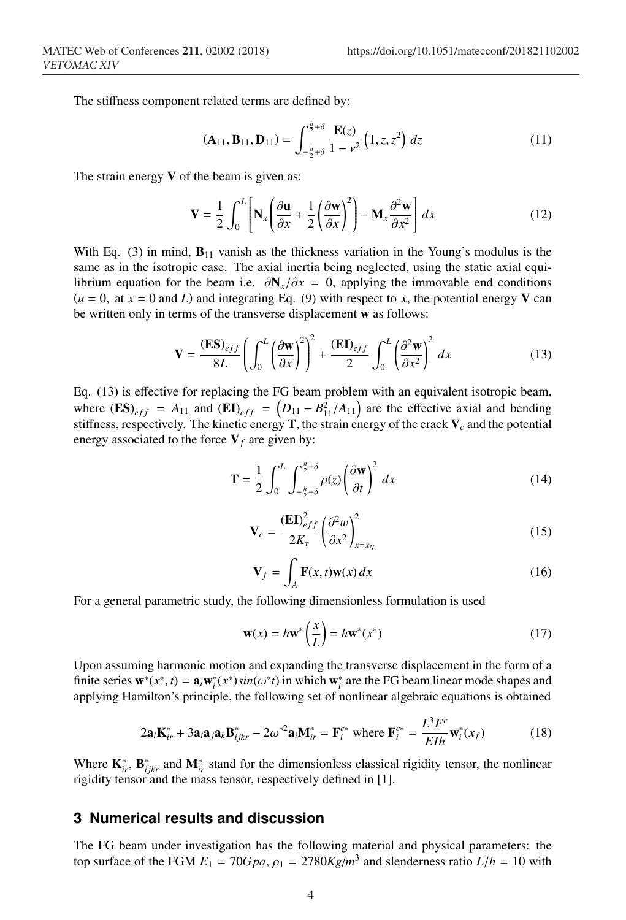The stiffness component related terms are defined by:

$$
(\mathbf{A}_{11}, \mathbf{B}_{11}, \mathbf{D}_{11}) = \int_{-\frac{h}{2} + \delta}^{\frac{h}{2} + \delta} \frac{\mathbf{E}(z)}{1 - v^2} (1, z, z^2) dz
$$
 (11)

The strain energy  $V$  of the beam is given as:

$$
\mathbf{V} = \frac{1}{2} \int_0^L \left[ \mathbf{N}_x \left( \frac{\partial \mathbf{u}}{\partial x} + \frac{1}{2} \left( \frac{\partial \mathbf{w}}{\partial x} \right)^2 \right) - \mathbf{M}_x \frac{\partial^2 \mathbf{w}}{\partial x^2} \right] dx \tag{12}
$$

With Eq. (3) in mind,  $\mathbf{B}_{11}$  vanish as the thickness variation in the Young's modulus is the same as in the isotropic case. The axial inertia being neglected, using the static axial equilibrium equation for the beam i.e.  $\partial N_x/\partial x = 0$ , applying the immovable end conditions  $(u = 0, at x = 0 and L)$  and integrating Eq. (9) with respect to x, the potential energy V can be written only in terms of the transverse displacement w as follows:

$$
\mathbf{V} = \frac{(\mathbf{ES})_{eff}}{8L} \left( \int_0^L \left( \frac{\partial \mathbf{w}}{\partial x} \right)^2 \right)^2 + \frac{(\mathbf{EI})_{eff}}{2} \int_0^L \left( \frac{\partial^2 \mathbf{w}}{\partial x^2} \right)^2 dx \tag{13}
$$

Eq. (13) is effective for replacing the FG beam problem with an equivalent isotropic beam, where  $(ES)_{eff} = A_{11}$  and  $(EI)_{eff} = (D_{11} - B_{11}^2/A_{11})$  are the effective axial and bending stiffness, respectively. The kinetic energy  $\mathbf{T}$ , the strain energy of the crack  $\mathbf{V}_c$  and the potential energy associated to the force  $V_f$  are given by:

$$
\mathbf{T} = \frac{1}{2} \int_0^L \int_{-\frac{h}{2} + \delta}^{\frac{h}{2} + \delta} \rho(z) \left(\frac{\partial \mathbf{w}}{\partial t}\right)^2 dx \tag{14}
$$

$$
\mathbf{V}_c = \frac{(\mathbf{E}\mathbf{I})_{eff}^2}{2K_{\tau}} \left(\frac{\partial^2 w}{\partial x^2}\right)_{x=x_N}^2
$$
 (15)

$$
\mathbf{V}_f = \int_A \mathbf{F}(x, t) \mathbf{w}(x) dx \tag{16}
$$

For a general parametric study, the following dimensionless formulation is used

$$
\mathbf{w}(x) = h\mathbf{w}^* \left(\frac{x}{L}\right) = h\mathbf{w}^*(x^*)
$$
 (17)

Upon assuming harmonic motion and expanding the transverse displacement in the form of a finite series  $\mathbf{w}^*(x^*, t) = \mathbf{a}_i \mathbf{w}_i^*(x^*) \sin(\omega^* t)$  in which  $\mathbf{w}_i^*$  are the FG beam linear mode shapes and applying Hamilton's principle, the following set of nonlinear algebraic equations is obtained

$$
2\mathbf{a}_i \mathbf{K}_{ir}^* + 3\mathbf{a}_i \mathbf{a}_j \mathbf{a}_k \mathbf{B}_{ijkr}^* - 2\omega^{*2} \mathbf{a}_i \mathbf{M}_{ir}^* = \mathbf{F}_i^{c*} \text{ where } \mathbf{F}_i^{c*} = \frac{L^3 F^c}{E I h} \mathbf{w}_i^*(x_f)
$$
(18)

Where  $\mathbf{K}_{ir}^*$ ,  $\mathbf{B}_{ijkr}^*$  and  $\mathbf{M}_{ir}^*$  stand for the dimensionless classical rigidity tensor, the nonlinear rigidity tensor and the mass tensor, respectively defined in [1].

## **3 Numerical results and discussion**

The FG beam under investigation has the following material and physical parameters: the top surface of the FGM  $E_1 = 70Gpa$ ,  $\rho_1 = 2780Kg/m^3$  and slenderness ratio  $L/h = 10$  with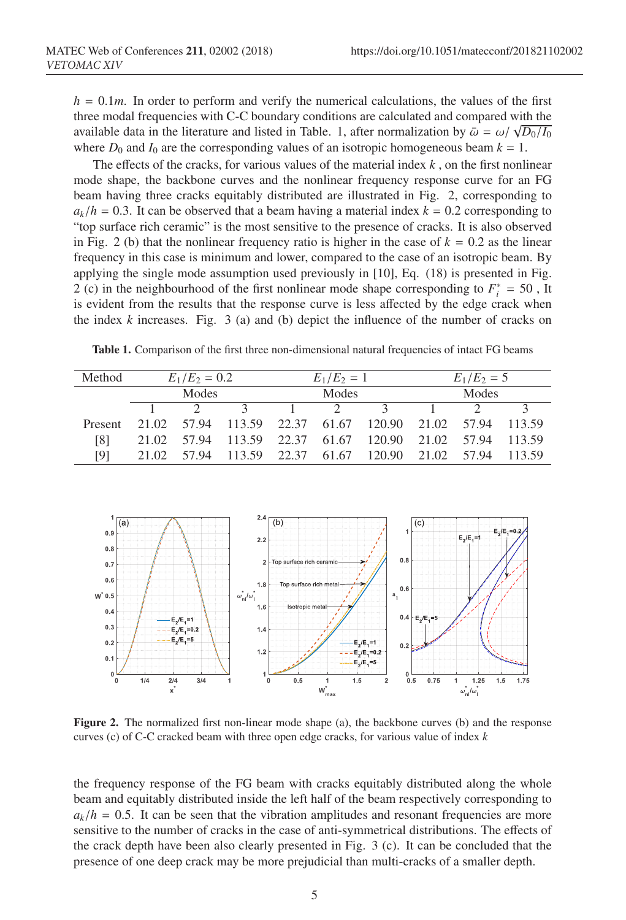$h = 0.1m$ . In order to perform and verify the numerical calculations, the values of the first three modal frequencies with C-C boundary conditions are calculated and compared with the available data in the literature and listed in Table. 1, after normalization by  $\bar{\omega} = \omega / \sqrt{D_0/I_0}$ where  $D_0$  and  $I_0$  are the corresponding values of an isotropic homogeneous beam  $k = 1$ .

The effects of the cracks, for various values of the material index *k* , on the first nonlinear mode shape, the backbone curves and the nonlinear frequency response curve for an FG beam having three cracks equitably distributed are illustrated in Fig. 2, corresponding to  $a_k/h = 0.3$ . It can be observed that a beam having a material index  $k = 0.2$  corresponding to "top surface rich ceramic" is the most sensitive to the presence of cracks. It is also observed in Fig. 2 (b) that the nonlinear frequency ratio is higher in the case of  $k = 0.2$  as the linear frequency in this case is minimum and lower, compared to the case of an isotropic beam. By applying the single mode assumption used previously in [10], Eq. (18) is presented in Fig. 2 (c) in the neighbourhood of the first nonlinear mode shape corresponding to  $F_i^* = 50$ , It is evident from the results that the response curve is less affected by the edge crack when the index  $k$  increases. Fig. 3 (a) and (b) depict the influence of the number of cracks on

Table 1. Comparison of the first three non-dimensional natural frequencies of intact FG beams

| Method  | $E_1/E_2 = 0.2$ |       |  | $E_1/E_2 = 1$ |  |                                              | $E_1/E_2 = 5$ |       |              |
|---------|-----------------|-------|--|---------------|--|----------------------------------------------|---------------|-------|--------------|
|         | Modes           |       |  | Modes         |  |                                              | Modes         |       |              |
|         |                 |       |  |               |  | $\mathcal{L}$                                |               |       |              |
| Present | 21.02           | 57.94 |  |               |  | 113.59 22.37 61.67 120.90 21.02              |               | 57.94 | 113.59       |
| [8]     | 21.02           | 57.94 |  |               |  | 113.59 22.37 61.67 120.90 21.02              |               |       | 57.94 113.59 |
| [9]     | 21.02           | 57.94 |  |               |  | 113.59 22.37 61.67 120.90 21.02 57.94 113.59 |               |       |              |



Figure 2. The normalized first non-linear mode shape (a), the backbone curves (b) and the response curves (c) of C-C cracked beam with three open edge cracks, for various value of index *k*

the frequency response of the FG beam with cracks equitably distributed along the whole beam and equitably distributed inside the left half of the beam respectively corresponding to  $a_k/h = 0.5$ . It can be seen that the vibration amplitudes and resonant frequencies are more sensitive to the number of cracks in the case of anti-symmetrical distributions. The effects of the crack depth have been also clearly presented in Fig. 3 (c). It can be concluded that the presence of one deep crack may be more prejudicial than multi-cracks of a smaller depth.